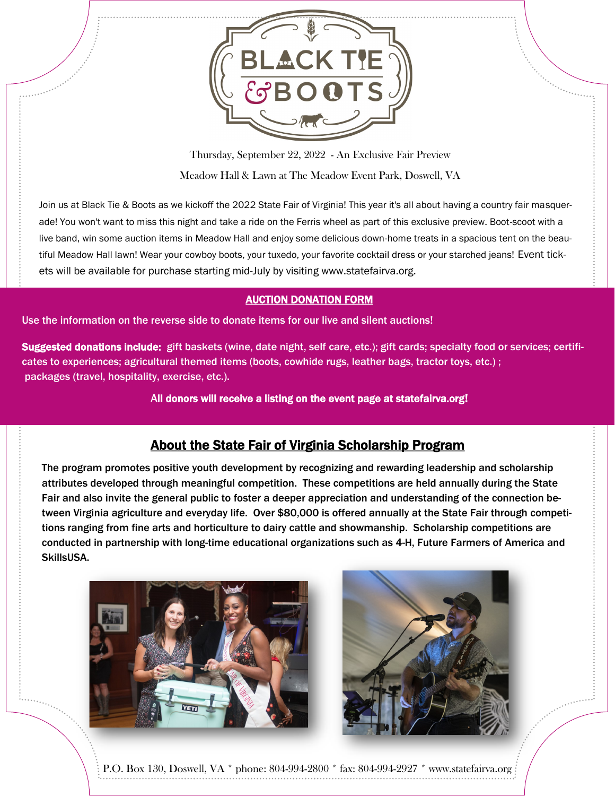

Thursday, September 22, 2022 - An Exclusive Fair Preview Meadow Hall & Lawn at The Meadow Event Park, Doswell, VA

Join us at Black Tie & Boots as we kickoff the 2022 State Fair of Virginia! This year it's all about having a country fair masquerade! You won't want to miss this night and take a ride on the Ferris wheel as part of this exclusive preview. Boot-scoot with a live band, win some auction items in Meadow Hall and enjoy some delicious down-home treats in a spacious tent on the beautiful Meadow Hall lawn! Wear your cowboy boots, your tuxedo, your favorite cocktail dress or your starched jeans! Event tickets will be available for purchase starting mid-July by visiting www.statefairva.org.

## AUCTION DONATION FORM

Use the information on the reverse side to donate items for our live and silent auctions!

Suggested donations include: gift baskets (wine, date night, self care, etc.); gift cards; specialty food or services; certificates to experiences; agricultural themed items (boots, cowhide rugs, leather bags, tractor toys, etc.) ; packages (travel, hospitality, exercise, etc.).

All donors will receive a listing on the event page at statefairva.org!

## About the State Fair of Virginia Scholarship Program

The program promotes positive youth development by recognizing and rewarding leadership and scholarship attributes developed through meaningful competition. These competitions are held annually during the State Fair and also invite the general public to foster a deeper appreciation and understanding of the connection between Virginia agriculture and everyday life. Over \$80,000 is offered annually at the State Fair through competitions ranging from fine arts and horticulture to dairy cattle and showmanship. Scholarship competitions are conducted in partnership with long-time educational organizations such as 4-H, Future Farmers of America and SkillsUSA.





P.O. Box 130, Doswell, VA \* phone: 804-994-2800 \* fax: 804-994-2927 \* www.statefairva.org